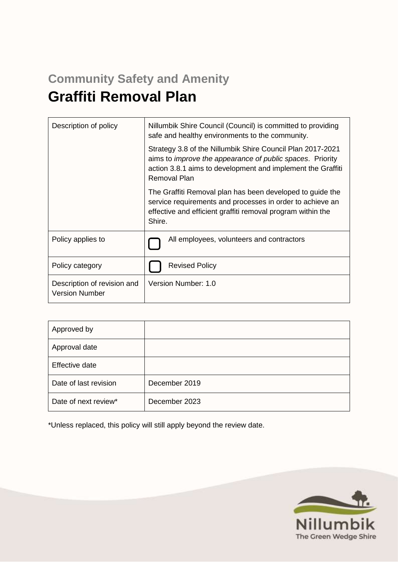# **Community Safety and Amenity Graffiti Removal Plan**

| Description of policy                                | Nillumbik Shire Council (Council) is committed to providing<br>safe and healthy environments to the community.                                                                                                        |  |
|------------------------------------------------------|-----------------------------------------------------------------------------------------------------------------------------------------------------------------------------------------------------------------------|--|
|                                                      | Strategy 3.8 of the Nillumbik Shire Council Plan 2017-2021<br>aims to <i>improve the appearance of public spaces</i> . Priority<br>action 3.8.1 aims to development and implement the Graffiti<br><b>Removal Plan</b> |  |
|                                                      | The Graffiti Removal plan has been developed to guide the<br>service requirements and processes in order to achieve an<br>effective and efficient graffiti removal program within the<br>Shire.                       |  |
| Policy applies to                                    | All employees, volunteers and contractors                                                                                                                                                                             |  |
| Policy category                                      | <b>Revised Policy</b>                                                                                                                                                                                                 |  |
| Description of revision and<br><b>Version Number</b> | Version Number: 1.0                                                                                                                                                                                                   |  |

| Approved by           |               |
|-----------------------|---------------|
| Approval date         |               |
| Effective date        |               |
| Date of last revision | December 2019 |
| Date of next review*  | December 2023 |

\*Unless replaced, this policy will still apply beyond the review date.

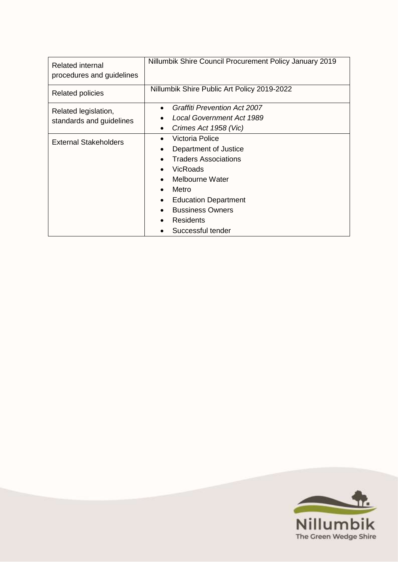| Related internal<br>procedures and guidelines    | Nillumbik Shire Council Procurement Policy January 2019                                                                                                                                                                                            |
|--------------------------------------------------|----------------------------------------------------------------------------------------------------------------------------------------------------------------------------------------------------------------------------------------------------|
| <b>Related policies</b>                          | Nillumbik Shire Public Art Policy 2019-2022                                                                                                                                                                                                        |
| Related legislation,<br>standards and guidelines | <b>Graffiti Prevention Act 2007</b><br>Local Government Act 1989<br>Crimes Act 1958 (Vic)                                                                                                                                                          |
| <b>External Stakeholders</b>                     | Victoria Police<br>$\bullet$<br>Department of Justice<br><b>Traders Associations</b><br>VicRoads<br>Melbourne Water<br>Metro<br>$\bullet$<br><b>Education Department</b><br><b>Bussiness Owners</b><br>$\bullet$<br>Residents<br>Successful tender |

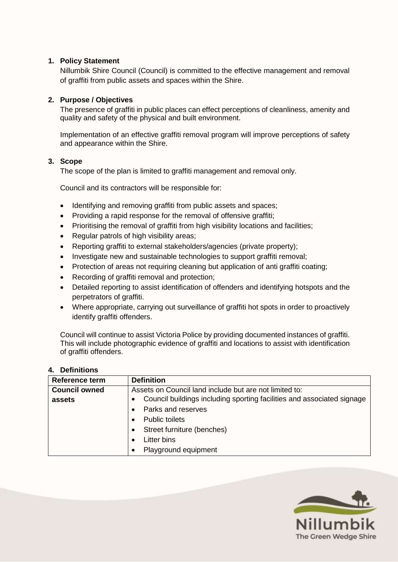## **1. Policy Statement**

Nillumbik Shire Council (Council) is committed to the effective management and removal of graffiti from public assets and spaces within the Shire.

#### **2. Purpose / Objectives**

The presence of graffiti in public places can effect perceptions of cleanliness, amenity and quality and safety of the physical and built environment.

Implementation of an effective graffiti removal program will improve perceptions of safety and appearance within the Shire.

#### **3. Scope**

The scope of the plan is limited to graffiti management and removal only.

Council and its contractors will be responsible for:

- Identifying and removing graffiti from public assets and spaces;
- Providing a rapid response for the removal of offensive graffiti;
- Prioritising the removal of graffiti from high visibility locations and facilities;
- Regular patrols of high visibility areas;
- Reporting graffiti to external stakeholders/agencies (private property);
- Investigate new and sustainable technologies to support graffiti removal;
- Protection of areas not requiring cleaning but application of anti graffiti coating;
- Recording of graffiti removal and protection;
- Detailed reporting to assist identification of offenders and identifying hotspots and the perpetrators of graffiti.
- Where appropriate, carrying out surveillance of graffiti hot spots in order to proactively identify graffiti offenders.

Council will continue to assist Victoria Police by providing documented instances of graffiti. This will include photographic evidence of graffiti and locations to assist with identification of graffiti offenders.

#### **4. Definitions**

| <b>Reference term</b> | <b>Definition</b>                                                      |
|-----------------------|------------------------------------------------------------------------|
| <b>Council owned</b>  | Assets on Council land include but are not limited to:                 |
| assets                | Council buildings including sporting facilities and associated signage |
|                       | Parks and reserves                                                     |
|                       | <b>Public toilets</b>                                                  |
|                       | Street furniture (benches)                                             |
|                       | Litter bins                                                            |
|                       | Playground equipment                                                   |

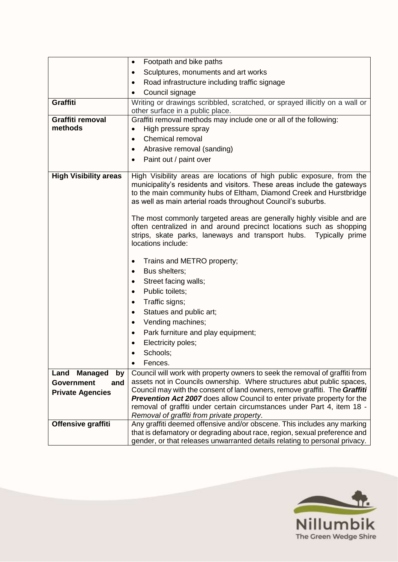|                              | Footpath and bike paths<br>$\bullet$                                                                                                                                                                                                                                                    |  |
|------------------------------|-----------------------------------------------------------------------------------------------------------------------------------------------------------------------------------------------------------------------------------------------------------------------------------------|--|
|                              | Sculptures, monuments and art works<br>$\bullet$                                                                                                                                                                                                                                        |  |
|                              | Road infrastructure including traffic signage<br>$\bullet$                                                                                                                                                                                                                              |  |
|                              | Council signage                                                                                                                                                                                                                                                                         |  |
| <b>Graffiti</b>              | Writing or drawings scribbled, scratched, or sprayed illicitly on a wall or                                                                                                                                                                                                             |  |
|                              | other surface in a public place.                                                                                                                                                                                                                                                        |  |
| Graffiti removal             | Graffiti removal methods may include one or all of the following:                                                                                                                                                                                                                       |  |
| methods                      | High pressure spray<br>$\bullet$                                                                                                                                                                                                                                                        |  |
|                              | Chemical removal<br>$\bullet$                                                                                                                                                                                                                                                           |  |
|                              | Abrasive removal (sanding)                                                                                                                                                                                                                                                              |  |
|                              | Paint out / paint over<br>$\bullet$                                                                                                                                                                                                                                                     |  |
|                              |                                                                                                                                                                                                                                                                                         |  |
| <b>High Visibility areas</b> | High Visibility areas are locations of high public exposure, from the<br>municipality's residents and visitors. These areas include the gateways<br>to the main community hubs of Eltham, Diamond Creek and Hurstbridge<br>as well as main arterial roads throughout Council's suburbs. |  |
|                              | The most commonly targeted areas are generally highly visible and are<br>often centralized in and around precinct locations such as shopping<br>strips, skate parks, laneways and transport hubs. Typically prime<br>locations include:                                                 |  |
|                              | Trains and METRO property;<br>$\bullet$                                                                                                                                                                                                                                                 |  |
|                              | Bus shelters;<br>$\bullet$                                                                                                                                                                                                                                                              |  |
|                              | Street facing walls;<br>$\bullet$                                                                                                                                                                                                                                                       |  |
|                              | Public toilets;<br>$\bullet$                                                                                                                                                                                                                                                            |  |
|                              | Traffic signs;<br>$\bullet$                                                                                                                                                                                                                                                             |  |
|                              | Statues and public art;<br>$\bullet$                                                                                                                                                                                                                                                    |  |
|                              | Vending machines;<br>$\bullet$                                                                                                                                                                                                                                                          |  |
|                              | Park furniture and play equipment;<br>$\bullet$                                                                                                                                                                                                                                         |  |
|                              | Electricity poles;                                                                                                                                                                                                                                                                      |  |
|                              | Schools;                                                                                                                                                                                                                                                                                |  |
|                              | Fences.<br>$\bullet$                                                                                                                                                                                                                                                                    |  |
| Land<br><b>Managed</b><br>by | Council will work with property owners to seek the removal of graffiti from                                                                                                                                                                                                             |  |
| <b>Government</b><br>and     | assets not in Councils ownership. Where structures abut public spaces,                                                                                                                                                                                                                  |  |
| <b>Private Agencies</b>      | Council may with the consent of land owners, remove graffiti. The Graffiti                                                                                                                                                                                                              |  |
|                              | Prevention Act 2007 does allow Council to enter private property for the                                                                                                                                                                                                                |  |
|                              | removal of graffiti under certain circumstances under Part 4, item 18 -<br>Removal of graffiti from private property.                                                                                                                                                                   |  |
| Offensive graffiti           | Any graffiti deemed offensive and/or obscene. This includes any marking                                                                                                                                                                                                                 |  |
|                              | that is defamatory or degrading about race, region, sexual preference and<br>gender, or that releases unwarranted details relating to personal privacy.                                                                                                                                 |  |

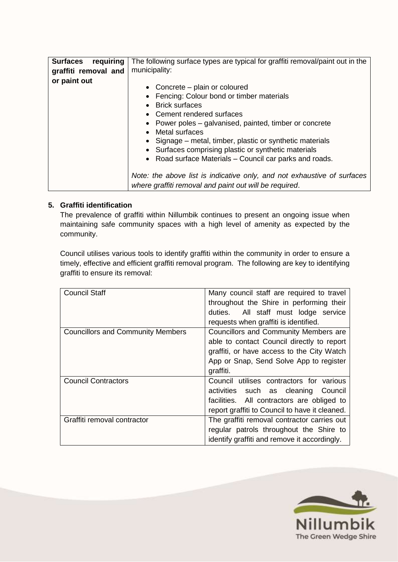| requiring<br><b>Surfaces</b><br>graffiti removal and | The following surface types are typical for graffiti removal/paint out in the<br>municipality:                                                                                                                                                                                                                                                                                              |
|------------------------------------------------------|---------------------------------------------------------------------------------------------------------------------------------------------------------------------------------------------------------------------------------------------------------------------------------------------------------------------------------------------------------------------------------------------|
| or paint out                                         | • Concrete $-$ plain or coloured<br>• Fencing: Colour bond or timber materials<br>• Brick surfaces<br>• Cement rendered surfaces<br>• Power poles – galvanised, painted, timber or concrete<br>Metal surfaces<br>• Signage – metal, timber, plastic or synthetic materials<br>Surfaces comprising plastic or synthetic materials<br>• Road surface Materials – Council car parks and roads. |
|                                                      | Note: the above list is indicative only, and not exhaustive of surfaces<br>where graffiti removal and paint out will be required.                                                                                                                                                                                                                                                           |

## **5. Graffiti identification**

The prevalence of graffiti within Nillumbik continues to present an ongoing issue when maintaining safe community spaces with a high level of amenity as expected by the community.

Council utilises various tools to identify graffiti within the community in order to ensure a timely, effective and efficient graffiti removal program. The following are key to identifying graffiti to ensure its removal:

| <b>Council Staff</b>                     | Many council staff are required to travel      |
|------------------------------------------|------------------------------------------------|
|                                          | throughout the Shire in performing their       |
|                                          | duties. All staff must lodge service           |
|                                          | requests when graffiti is identified.          |
| <b>Councillors and Community Members</b> | Councillors and Community Members are          |
|                                          | able to contact Council directly to report     |
|                                          | graffiti, or have access to the City Watch     |
|                                          | App or Snap, Send Solve App to register        |
|                                          | graffiti.                                      |
| <b>Council Contractors</b>               | Council utilises contractors for various       |
|                                          | activities such as cleaning Council            |
|                                          | facilities. All contractors are obliged to     |
|                                          | report graffiti to Council to have it cleaned. |
| Graffiti removal contractor              | The graffiti removal contractor carries out    |
|                                          | regular patrols throughout the Shire to        |
|                                          | identify graffiti and remove it accordingly.   |

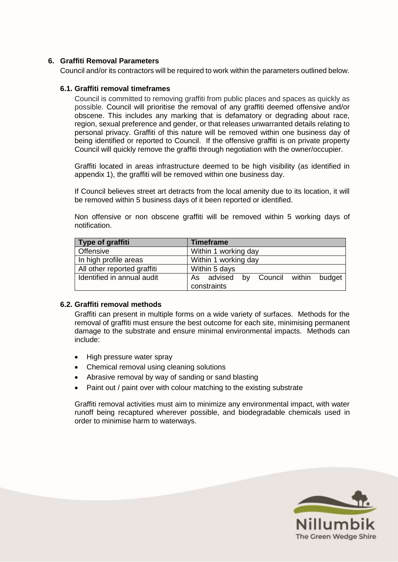#### **6. Graffiti Removal Parameters**

Council and/or its contractors will be required to work within the parameters outlined below.

#### **6.1. Graffiti removal timeframes**

Council is committed to removing graffiti from public places and spaces as quickly as possible. Council will prioritise the removal of any graffiti deemed offensive and/or obscene. This includes any marking that is defamatory or degrading about race, region, sexual preference and gender, or that releases unwarranted details relating to personal privacy. Graffiti of this nature will be removed within one business day of being identified or reported to Council. If the offensive graffiti is on private property Council will quickly remove the graffiti through negotiation with the owner/occupier.

Graffiti located in areas infrastructure deemed to be high visibility (as identified in appendix 1), the graffiti will be removed within one business day.

If Council believes street art detracts from the local amenity due to its location, it will be removed within 5 business days of it been reported or identified.

Non offensive or non obscene graffiti will be removed within 5 working days of notification.

| Type of graffiti            | <b>Timeframe</b>                    |
|-----------------------------|-------------------------------------|
| <b>Offensive</b>            | Within 1 working day                |
| In high profile areas       | Within 1 working day                |
| All other reported graffiti | Within 5 days                       |
| Identified in annual audit  | As advised by Council within budget |
|                             | constraints                         |

#### **6.2. Graffiti removal methods**

Graffiti can present in multiple forms on a wide variety of surfaces. Methods for the removal of graffiti must ensure the best outcome for each site, minimising permanent damage to the substrate and ensure minimal environmental impacts. Methods can include:

- High pressure water spray
- Chemical removal using cleaning solutions
- Abrasive removal by way of sanding or sand blasting
- Paint out / paint over with colour matching to the existing substrate

Graffiti removal activities must aim to minimize any environmental impact, with water runoff being recaptured wherever possible, and biodegradable chemicals used in order to minimise harm to waterways.

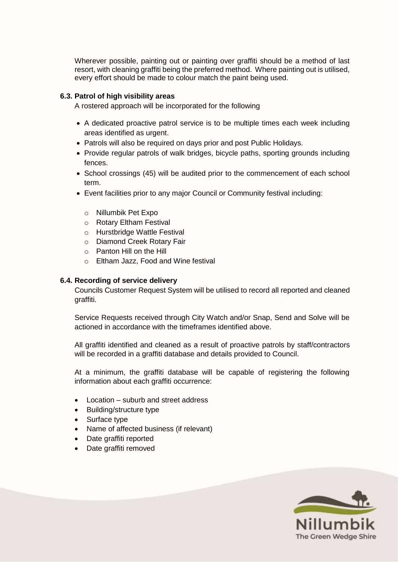Wherever possible, painting out or painting over graffiti should be a method of last resort, with cleaning graffiti being the preferred method. Where painting out is utilised, every effort should be made to colour match the paint being used.

### **6.3. Patrol of high visibility areas**

A rostered approach will be incorporated for the following

- A dedicated proactive patrol service is to be multiple times each week including areas identified as urgent.
- Patrols will also be required on days prior and post Public Holidays.
- Provide regular patrols of walk bridges, bicycle paths, sporting grounds including fences.
- School crossings (45) will be audited prior to the commencement of each school term.
- Event facilities prior to any major Council or Community festival including:
	- o Nillumbik Pet Expo
	- o Rotary Eltham Festival
	- o Hurstbridge Wattle Festival
	- o Diamond Creek Rotary Fair
	- o Panton Hill on the Hill
	- o Eltham Jazz, Food and Wine festival

#### **6.4. Recording of service delivery**

Councils Customer Request System will be utilised to record all reported and cleaned graffiti.

Service Requests received through City Watch and/or Snap, Send and Solve will be actioned in accordance with the timeframes identified above.

All graffiti identified and cleaned as a result of proactive patrols by staff/contractors will be recorded in a graffiti database and details provided to Council.

At a minimum, the graffiti database will be capable of registering the following information about each graffiti occurrence:

- Location suburb and street address
- Building/structure type
- Surface type
- Name of affected business (if relevant)
- Date graffiti reported
- Date graffiti removed

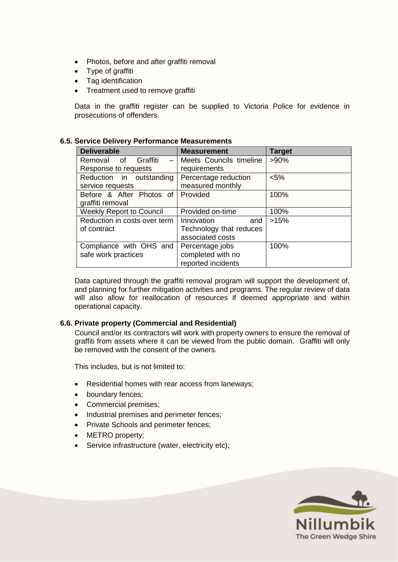- Photos, before and after graffiti removal
- Type of graffiti
- Tag identification
- Treatment used to remove graffiti

Data in the graffiti register can be supplied to Victoria Police for evidence in prosecutions of offenders.

#### **6.5. Service Delivery Performance Measurements**

| <b>Deliverable</b>                | <b>Measurement</b>      | <b>Target</b> |
|-----------------------------------|-------------------------|---------------|
| Removal<br>of<br>Graffiti<br>$-$  | Meets Councils timeline | $>90\%$       |
| Response to requests              | requirements            |               |
| Reduction in outstanding          | Percentage reduction    | $< 5\%$       |
| service requests                  | measured monthly        |               |
| Before & After Photos of Provided |                         | 100%          |
| graffiti removal                  |                         |               |
| <b>Weekly Report to Council</b>   | Provided on-time        | 100%          |
| Reduction in costs over term      | Innovation<br>and       | >15%          |
| of contract                       | Technology that reduces |               |
|                                   | associated costs        |               |
| Compliance with OHS and           | Percentage jobs         | 100%          |
| safe work practices               | completed with no       |               |
|                                   | reported incidents      |               |

Data captured through the graffiti removal program will support the development of, and planning for further mitigation activities and programs. The regular review of data will also allow for reallocation of resources if deemed appropriate and within operational capacity.

#### **6.6. Private property (Commercial and Residential)**

Council and/or its contractors will work with property owners to ensure the removal of graffiti from assets where it can be viewed from the public domain. Graffiti will only be removed with the consent of the owners.

This includes, but is not limited to:

- Residential homes with rear access from laneways;
- boundary fences;
- Commercial premises;
- Industrial premises and perimeter fences;
- Private Schools and perimeter fences;
- METRO property;
- Service infrastructure (water, electricity etc);

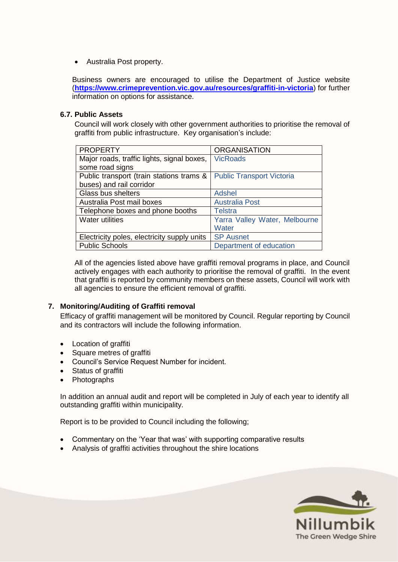Australia Post property.

Business owners are encouraged to utilise the Department of Justice website (**<https://www.crimeprevention.vic.gov.au/resources/graffiti-in-victoria>**) for further information on options for assistance.

#### **6.7. Public Assets**

Council will work closely with other government authorities to prioritise the removal of graffiti from public infrastructure. Key organisation's include:

| <b>ORGANISATION</b>              |
|----------------------------------|
| <b>VicRoads</b>                  |
|                                  |
| <b>Public Transport Victoria</b> |
|                                  |
| <b>Adshel</b>                    |
| <b>Australia Post</b>            |
| <b>Telstra</b>                   |
| Yarra Valley Water, Melbourne    |
| Water                            |
| <b>SP Ausnet</b>                 |
| Department of education          |
|                                  |

All of the agencies listed above have graffiti removal programs in place, and Council actively engages with each authority to prioritise the removal of graffiti. In the event that graffiti is reported by community members on these assets, Council will work with all agencies to ensure the efficient removal of graffiti.

## **7. Monitoring/Auditing of Graffiti removal**

Efficacy of graffiti management will be monitored by Council. Regular reporting by Council and its contractors will include the following information.

- Location of graffiti
- Square metres of graffiti
- Council's Service Request Number for incident.
- Status of graffiti
- Photographs

In addition an annual audit and report will be completed in July of each year to identify all outstanding graffiti within municipality.

Report is to be provided to Council including the following;

- Commentary on the 'Year that was' with supporting comparative results
- Analysis of graffiti activities throughout the shire locations

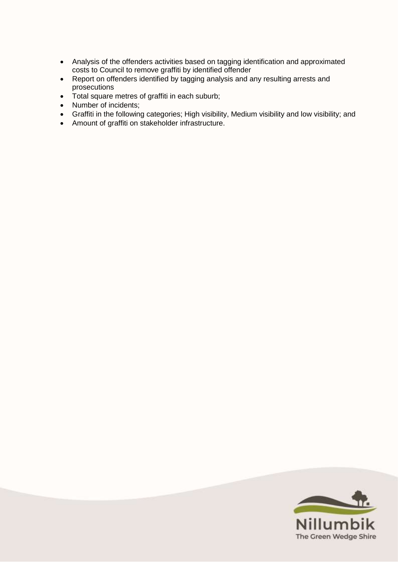- Analysis of the offenders activities based on tagging identification and approximated costs to Council to remove graffiti by identified offender
- Report on offenders identified by tagging analysis and any resulting arrests and prosecutions
- Total square metres of graffiti in each suburb;
- Number of incidents;
- Graffiti in the following categories; High visibility, Medium visibility and low visibility; and
- Amount of graffiti on stakeholder infrastructure.

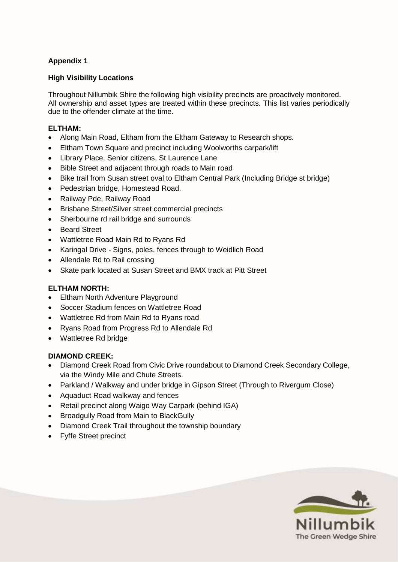## **Appendix 1**

### **High Visibility Locations**

Throughout Nillumbik Shire the following high visibility precincts are proactively monitored. All ownership and asset types are treated within these precincts. This list varies periodically due to the offender climate at the time.

#### **ELTHAM:**

- Along Main Road, Eltham from the Eltham Gateway to Research shops.
- Eltham Town Square and precinct including Woolworths carpark/lift
- Library Place, Senior citizens, St Laurence Lane
- Bible Street and adjacent through roads to Main road
- Bike trail from Susan street oval to Eltham Central Park (Including Bridge st bridge)
- Pedestrian bridge, Homestead Road.
- Railway Pde, Railway Road
- Brisbane Street/Silver street commercial precincts
- Sherbourne rd rail bridge and surrounds
- Beard Street
- Wattletree Road Main Rd to Ryans Rd
- Karingal Drive Signs, poles, fences through to Weidlich Road
- Allendale Rd to Rail crossing
- Skate park located at Susan Street and BMX track at Pitt Street

#### **ELTHAM NORTH:**

- Eltham North Adventure Playground
- Soccer Stadium fences on Wattletree Road
- Wattletree Rd from Main Rd to Ryans road
- Ryans Road from Progress Rd to Allendale Rd
- Wattletree Rd bridge

#### **DIAMOND CREEK:**

- Diamond Creek Road from Civic Drive roundabout to Diamond Creek Secondary College, via the Windy Mile and Chute Streets.
- Parkland / Walkway and under bridge in Gipson Street (Through to Rivergum Close)
- Aquaduct Road walkway and fences
- Retail precinct along Waigo Way Carpark (behind IGA)
- Broadgully Road from Main to BlackGully
- Diamond Creek Trail throughout the township boundary
- Fyffe Street precinct

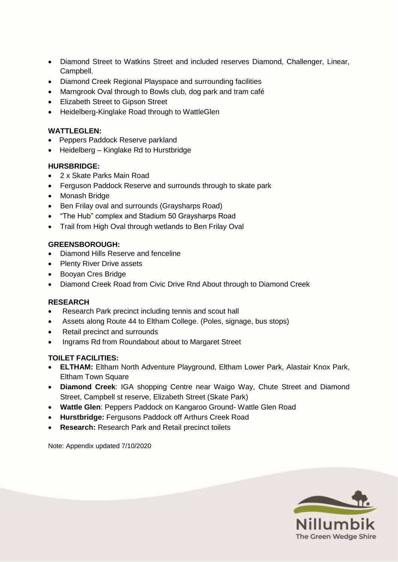- Diamond Street to Watkins Street and included reserves Diamond, Challenger, Linear, Campbell.
- Diamond Creek Regional Playspace and surrounding facilities
- Marngrook Oval through to Bowls club, dog park and tram café
- Elizabeth Street to Gipson Street
- Heidelberg-Kinglake Road through to WattleGlen

### **WATTLEGLEN:**

- Peppers Paddock Reserve parkland
- Heidelberg Kinglake Rd to Hurstbridge

### **HURSBRIDGE:**

- 2 x Skate Parks Main Road
- Ferguson Paddock Reserve and surrounds through to skate park
- Monash Bridge
- Ben Frilay oval and surrounds (Graysharps Road)
- "The Hub" complex and Stadium 50 Graysharps Road
- Trail from High Oval through wetlands to Ben Frilay Oval

### **GREENSBOROUGH:**

- Diamond Hills Reserve and fenceline
- Plenty River Drive assets
- Booyan Cres Bridge
- Diamond Creek Road from Civic Drive Rnd About through to Diamond Creek

#### **RESEARCH**

- Research Park precinct including tennis and scout hall
- Assets along Route 44 to Eltham College. (Poles, signage, bus stops)
- Retail precinct and surrounds
- Ingrams Rd from Roundabout about to Margaret Street

## **TOILET FACILITIES:**

- **ELTHAM:** Eltham North Adventure Playground, Eltham Lower Park, Alastair Knox Park, Eltham Town Square
- **Diamond Creek**: IGA shopping Centre near Waigo Way, Chute Street and Diamond Street, Campbell st reserve, Elizabeth Street (Skate Park)
- **Wattle Glen**: Peppers Paddock on Kangaroo Ground- Wattle Glen Road
- **Hurstbridge:** Fergusons Paddock off Arthurs Creek Road
- **Research:** Research Park and Retail precinct toilets

Note: Appendix updated 7/10/2020